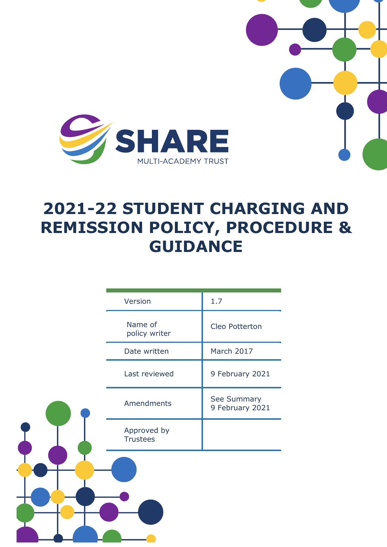

# **2021-22 STUDENT CHARGING AND REMISSION POLICY, PROCEDURE & GUIDANCE**

|  | Version                        | 1.7                            |
|--|--------------------------------|--------------------------------|
|  | Name of<br>policy writer       | Cleo Potterton                 |
|  | Date written                   | March 2017                     |
|  | Last reviewed                  | 9 February 2021                |
|  | Amendments                     | See Summary<br>9 February 2021 |
|  | Approved by<br><b>Trustees</b> |                                |
|  |                                |                                |
|  |                                |                                |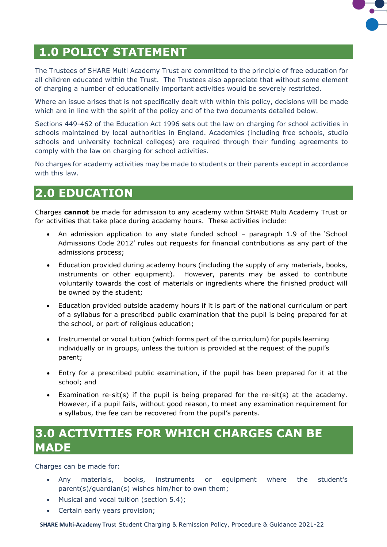

# **1.0 POLICY STATEMENT**

The Trustees of SHARE Multi Academy Trust are committed to the principle of free education for all children educated within the Trust. The Trustees also appreciate that without some element of charging a number of educationally important activities would be severely restricted.

Where an issue arises that is not specifically dealt with within this policy, decisions will be made which are in line with the spirit of the policy and of the two documents detailed below.

Sections 449-462 of the Education Act 1996 sets out the law on charging for school activities in schools maintained by local authorities in England. Academies (including free schools, studio schools and university technical colleges) are required through their funding agreements to comply with the law on charging for school activities.

No charges for academy activities may be made to students or their parents except in accordance with this law.

### **2.0 EDUCATION**

Charges **cannot** be made for admission to any academy within SHARE Multi Academy Trust or for activities that take place during academy hours. These activities include:

- An admission application to any state funded school paragraph 1.9 of the 'School Admissions Code 2012' rules out requests for financial contributions as any part of the admissions process;
- Education provided during academy hours (including the supply of any materials, books, instruments or other equipment). However, parents may be asked to contribute voluntarily towards the cost of materials or ingredients where the finished product will be owned by the student;
- Education provided outside academy hours if it is part of the national curriculum or part of a syllabus for a prescribed public examination that the pupil is being prepared for at the school, or part of religious education;
- Instrumental or vocal tuition (which forms part of the curriculum) for pupils learning individually or in groups, unless the tuition is provided at the request of the pupil's parent;
- Entry for a prescribed public examination, if the pupil has been prepared for it at the school; and
- Examination re-sit(s) if the pupil is being prepared for the re-sit(s) at the academy. However, if a pupil fails, without good reason, to meet any examination requirement for a syllabus, the fee can be recovered from the pupil's parents.

### **3.0 ACTIVITIES FOR WHICH CHARGES CAN BE MADE**

Charges can be made for:

- Any materials, books, instruments or equipment where the student's parent(s)/guardian(s) wishes him/her to own them;
- Musical and vocal tuition (section 5.4);
- Certain early years provision;

**SHARE Multi-Academy Trust** Student Charging & Remission Policy, Procedure & Guidance 2021-22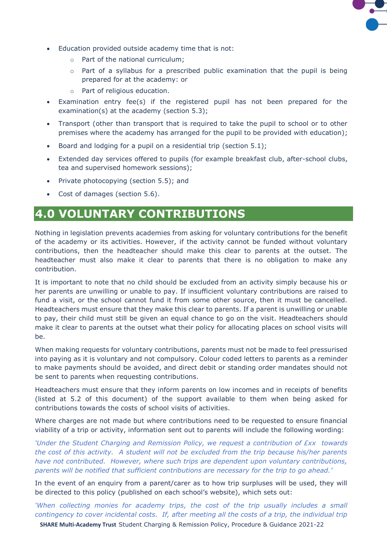

- Education provided outside academy time that is not:
	- o Part of the national curriculum;
	- $\circ$  Part of a syllabus for a prescribed public examination that the pupil is being prepared for at the academy: or
	- o Part of religious education.
- Examination entry fee(s) if the registered pupil has not been prepared for the examination(s) at the academy (section 5.3);
- Transport (other than transport that is required to take the pupil to school or to other premises where the academy has arranged for the pupil to be provided with education);
- Board and lodging for a pupil on a residential trip (section 5.1);
- Extended day services offered to pupils (for example breakfast club, after-school clubs, tea and supervised homework sessions);
- Private photocopying (section 5.5); and
- Cost of damages (section 5.6).

### **4.0 VOLUNTARY CONTRIBUTIONS**

Nothing in legislation prevents academies from asking for voluntary contributions for the benefit of the academy or its activities. However, if the activity cannot be funded without voluntary contributions, then the headteacher should make this clear to parents at the outset. The headteacher must also make it clear to parents that there is no obligation to make any contribution.

It is important to note that no child should be excluded from an activity simply because his or her parents are unwilling or unable to pay. If insufficient voluntary contributions are raised to fund a visit, or the school cannot fund it from some other source, then it must be cancelled. Headteachers must ensure that they make this clear to parents. If a parent is unwilling or unable to pay, their child must still be given an equal chance to go on the visit. Headteachers should make it clear to parents at the outset what their policy for allocating places on school visits will be.

When making requests for voluntary contributions, parents must not be made to feel pressurised into paying as it is voluntary and not compulsory. Colour coded letters to parents as a reminder to make payments should be avoided, and direct debit or standing order mandates should not be sent to parents when requesting contributions.

Headteachers must ensure that they inform parents on low incomes and in receipts of benefits (listed at 5.2 of this document) of the support available to them when being asked for contributions towards the costs of school visits of activities.

Where charges are not made but where contributions need to be requested to ensure financial viability of a trip or activity, information sent out to parents will include the following wording:

*'Under the Student Charging and Remission Policy, we request a contribution of £xx towards the cost of this activity. A student will not be excluded from the trip because his/her parents have not contributed. However, where such trips are dependent upon voluntary contributions, parents will be notified that sufficient contributions are necessary for the trip to go ahead.'*

In the event of an enquiry from a parent/carer as to how trip surpluses will be used, they will be directed to this policy (published on each school's website), which sets out:

*'When collecting monies for academy trips, the cost of the trip usually includes a small contingency to cover incidental costs. If, after meeting all the costs of a trip, the individual trip* 

**SHARE Multi-Academy Trust** Student Charging & Remission Policy, Procedure & Guidance 2021-22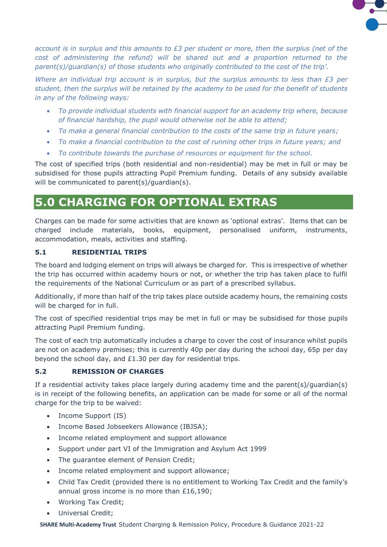

*account is in surplus and this amounts to £3 per student or more, then the surplus (net of the*  cost of administering the refund) will be shared out and a proportion returned to the *parent(s)/guardian(s) of those students who originally contributed to the cost of the trip'.*

*Where an individual trip account is in surplus, but the surplus amounts to less than £3 per student, then the surplus will be retained by the academy to be used for the benefit of students in any of the following ways:*

- *To provide individual students with financial support for an academy trip where, because of financial hardship, the pupil would otherwise not be able to attend;*
- *To make a general financial contribution to the costs of the same trip in future years;*
- *To make a financial contribution to the cost of running other trips in future years; and*
- *To contribute towards the purchase of resources or equipment for the school.*

The cost of specified trips (both residential and non-residential) may be met in full or may be subsidised for those pupils attracting Pupil Premium funding. Details of any subsidy available will be communicated to parent(s)/quardian(s).

# **5.0 CHARGING FOR OPTIONAL EXTRAS**

Charges can be made for some activities that are known as 'optional extras'. Items that can be charged include materials, books, equipment, personalised uniform, instruments, accommodation, meals, activities and staffing.

#### **5.1 RESIDENTIAL TRIPS**

The board and lodging element on trips will always be charged for. This is irrespective of whether the trip has occurred within academy hours or not, or whether the trip has taken place to fulfil the requirements of the National Curriculum or as part of a prescribed syllabus.

Additionally, if more than half of the trip takes place outside academy hours, the remaining costs will be charged for in full.

The cost of specified residential trips may be met in full or may be subsidised for those pupils attracting Pupil Premium funding.

The cost of each trip automatically includes a charge to cover the cost of insurance whilst pupils are not on academy premises; this is currently 40p per day during the school day, 65p per day beyond the school day, and £1.30 per day for residential trips.

#### **5.2 REMISSION OF CHARGES**

If a residential activity takes place largely during academy time and the parent(s)/guardian(s) is in receipt of the following benefits, an application can be made for some or all of the normal charge for the trip to be waived:

- Income Support (IS)
- Income Based Jobseekers Allowance (IBJSA);
- Income related employment and support allowance
- Support under part VI of the Immigration and Asylum Act 1999
- The guarantee element of Pension Credit;
- Income related employment and support allowance;
- Child Tax Credit (provided there is no entitlement to Working Tax Credit and the family's annual gross income is no more than £16,190;
- Working Tax Credit;
- Universal Credit;

**SHARE Multi-Academy Trust** Student Charging & Remission Policy, Procedure & Guidance 2021-22